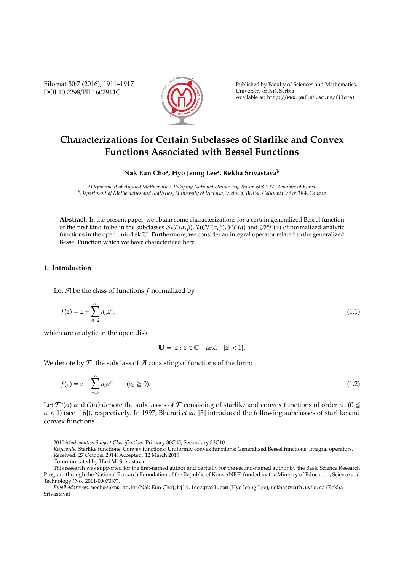Filomat 30:7 (2016), 1911–1917 DOI 10.2298/FIL1607911C



Published by Faculty of Sciences and Mathematics, University of Niš, Serbia Available at: http://www.pmf.ni.ac.rs/filomat

# **Characterizations for Certain Subclasses of Starlike and Convex Functions Associated with Bessel Functions**

**Nak Eun Cho<sup>a</sup> , Hyo Jeong Lee<sup>a</sup> , Rekha Srivastava<sup>b</sup>**

*<sup>a</sup>Department of Applied Mathematics, Pukyong National University, Busan* 608*-*737, *Republic of Korea <sup>b</sup>Department of Mathematics and Statistics, University of Victoria, Victoria, British Columbia V*8*W* 3*R*4, *Canada*

**Abstract.** In the present paper, we obtain some characterizations for a certain generalized Bessel function of the first kind to be in the subclasses  $S_{\mathcal{P}}\mathcal{T}(\alpha,\beta), \mathcal{U}(\mathcal{T}(\alpha,\beta), \mathcal{P}(\alpha))$  and  $\mathcal{C}\mathcal{P}\mathcal{T}(\alpha)$  of normalized analytic functions in the open unit disk U. Furthermore, we consider an integral operator related to the generalized Bessel Function which we have characterized here.

## **1. Introduction**

Let A be the class of functions *f* normalized by

$$
f(z) = z + \sum_{n=2}^{\infty} a_n z^n,
$$
\n(1.1)

which are analytic in the open disk

$$
\mathbb{U} = \{z : z \in \mathbb{C} \quad \text{and} \quad |z| < 1\}.
$$

We denote by  $\mathcal T$  the subclass of  $\mathcal A$  consisting of functions of the form:

$$
f(z) = z - \sum_{n=2}^{\infty} a_n z^n \qquad (a_n \ge 0).
$$
 (1.2)

Let  $\mathcal{T}^*(\alpha)$  and  $C(\alpha)$  denote the subclasses of  $\mathcal T$  consisting of starlike and convex functions of order  $\alpha$  (0  $\leq$ α < 1) (see [16]), respectively. In 1997, Bharati *et al.* [5] introduced the following subclasses of starlike and convex functions.

<sup>2010</sup> *Mathematics Subject Classification*. Primary 30C45; Secondary 33C10

*Keywords*. Starlike functions; Convex functions; Uniformly convex functions; Generalized Bessel functions; Integral operators. Received: 27 October 2014; Accepted: 12 March 2015

Communicated by Hari M. Srivastava

This research was supported for the first-named author and partially for the second-named author by the Basic Science Research Program through the National Research Foundation of the Republic of Korea (NRF) funded by the Ministry of Education, Science and Technology (No. 2011-0007037).

*Email addresses:* necho@pknu.ac.kr (Nak Eun Cho), hjlj.lee@gmail.com (Hyo Jeong Lee), rekhas@math.uvic.ca (Rekha Srivastava)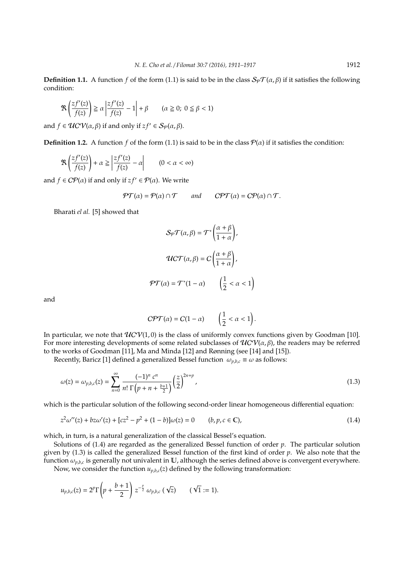**Definition 1.1.** A function *f* of the form (1.1) is said to be in the class  $S_{\varphi}T(\alpha,\beta)$  if it satisfies the following condition:

$$
\Re\left(\frac{zf'(z)}{f(z)}\right) \ge \alpha \left|\frac{zf'(z)}{f(z)} - 1\right| + \beta \qquad (\alpha \ge 0; \ 0 \le \beta < 1)
$$

and  $f \in UCV(\alpha, \beta)$  if and only if  $zf' \in S_{\mathcal{P}}(\alpha, \beta)$ .

**Definition 1.2.** A function *f* of the form (1.1) is said to be in the class  $\mathcal{P}(\alpha)$  if it satisfies the condition:

$$
\Re\left(\frac{zf'(z)}{f(z)}\right) + \alpha \ge \left|\frac{zf'(z)}{f(z)} - \alpha\right| \qquad (0 < \alpha < \infty)
$$

and  $f \in CP(\alpha)$  if and only if  $zf' \in P(\alpha)$ . We write

$$
\mathcal{PT}(\alpha) = \mathcal{P}(\alpha) \cap \mathcal{T} \qquad \text{and} \qquad \mathcal{CPT}(\alpha) = \mathcal{C}\mathcal{P}(\alpha) \cap \mathcal{T}.
$$

Bharati *el al.* [5] showed that

$$
S_{\mathcal{P}}\mathcal{T}(\alpha,\beta) = \mathcal{T}^*\left(\frac{\alpha+\beta}{1+\alpha}\right),
$$

$$
UC\mathcal{T}(\alpha,\beta) = C\left(\frac{\alpha+\beta}{1+\alpha}\right),
$$

$$
\mathcal{PT}(\alpha) = \mathcal{T}^*(1-\alpha) \qquad \left(\frac{1}{2} < \alpha < 1\right)
$$

and

$$
CPT(\alpha) = C(1 - \alpha) \qquad \left(\frac{1}{2} < \alpha < 1\right).
$$

In particular, we note that  $UCV(1, 0)$  is the class of uniformly convex functions given by Goodman [10]. For more interesting developments of some related subclasses of  $UCV(\alpha, \beta)$ , the readers may be referred to the works of Goodman [11], Ma and Minda [12] and Rønning (see [14] and [15]).

Recently, Baricz [1] defined a generalized Bessel function  $\omega_{p,b,c} \equiv \omega$  as follows:

$$
\omega(z) = \omega_{p,b,c}(z) = \sum_{n=0}^{\infty} \frac{(-1)^n c^n}{n! \Gamma(p+n+\frac{b+1}{2})} \left(\frac{z}{2}\right)^{2n+p},\tag{1.3}
$$

which is the particular solution of the following second-order linear homogeneous differential equation:

$$
z^{2}\omega''(z) + bz\omega'(z) + [cz^{2} - p^{2} + (1 - b)]\omega(z) = 0 \qquad (b, p, c \in \mathbb{C}),
$$
\n(1.4)

which, in turn, is a natural generalization of the classical Bessel's equation.

Solutions of (1.4) are regarded as the generalized Bessel function of order *p*. The particular solution given by (1.3) is called the generalized Bessel function of the first kind of order *p*. We also note that the function  $\omega_{p,b,c}$  is generally not univalent in  $\mathbb U$ , although the series defined above is convergent everywhere.

Now, we consider the function  $u_{p,b,c}(z)$  defined by the following transformation:

$$
u_{p,b,c}(z)=2^{p}\Gamma\left(p+\frac{b+1}{2}\right)z^{-\frac{p}{2}}\,\omega_{p,b,c}\,(\sqrt{z})\qquad(\sqrt{1}:=1).
$$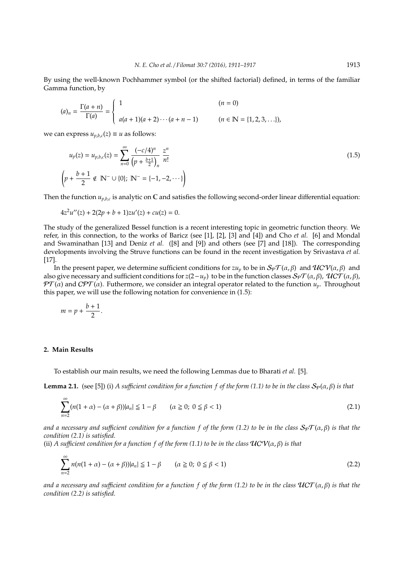By using the well-known Pochhammer symbol (or the shifted factorial) defined, in terms of the familiar Gamma function, by

$$
(a)_n = \frac{\Gamma(a+n)}{\Gamma(a)} = \begin{cases} 1 & (n = 0) \\ a(a+1)(a+2)\cdots(a+n-1) & (n \in \mathbb{N} = \{1,2,3,\ldots\}), \end{cases}
$$

we can express  $u_{p,b,c}(z) \equiv u$  as follows:

$$
u_p(z) = u_{p,b,c}(z) = \sum_{n=0}^{\infty} \frac{(-c/4)^n}{(p + \frac{b+1}{2})_n} \frac{z^n}{n!}
$$
  

$$
\left(p + \frac{b+1}{2} \notin \mathbb{N}^- \cup \{0\}; \mathbb{N}^- = \{-1, -2, \cdots\}\right)
$$
 (1.5)

Then the function  $u_{p,b,c}$  is analytic on  $\mathbb C$  and satisfies the following second-order linear differential equation:

$$
4z2u''(z) + 2(2p + b + 1)zu'(z) + cu(z) = 0.
$$

The study of the generalized Bessel function is a recent interesting topic in geometric function theory. We refer, in this connection, to the works of Baricz (see [1], [2], [3] and [4]) and Cho *et al.* [6] and Mondal and Swaminathan [13] and Deniz *et al.* ([8] and [9]) and others (see [7] and [18]). The corresponding developments involving the Struve functions can be found in the recent investigation by Srivastava *et al.* [17].

In the present paper, we determine sufficient conditions for  $zu_p$  to be in  $S_p\mathcal{T}(\alpha,\beta)$  and  $\mathcal{U}CV(\alpha,\beta)$  and also give necessary and sufficient conditions for  $z(2-u_p)$  to be in the function classes  $S_p\mathcal{T}(\alpha,\beta)$ ,  $\mathcal{U}CT(\alpha,\beta)$ ,  $\mathcal{PT}(\alpha)$  and  $\mathcal{CPT}(\alpha)$ . Futhermore, we consider an integral operator related to the function  $u_p$ . Throughout this paper, we will use the following notation for convenience in (1.5):

$$
m = p + \frac{b+1}{2}.
$$

#### **2. Main Results**

To establish our main results, we need the following Lemmas due to Bharati *et al.* [5].

**Lemma 2.1.** (see [5]) (i) *A sufficient condition for a function f of the form (1.1) to be in the class*  $S_p(\alpha, \beta)$  *is that* 

$$
\sum_{n=2}^{\infty} (n(1+\alpha) - (\alpha + \beta)) |a_n| \le 1 - \beta \qquad (\alpha \ge 0; \ 0 \le \beta < 1)
$$
 (2.1)

*and a necessary and sufficient condition for a function f of the form (1.2) to be in the class*  $S_{\mathcal{P}}f(\alpha,\beta)$  *is that the condition (2.1) is satisfied.*

(ii) *A sufficient condition for a function f of the form (1.1) to be in the class*  $\mathcal{U}CV(\alpha, \beta)$  *is that* 

$$
\sum_{n=2}^{\infty} n(n(1+\alpha) - (\alpha + \beta))|a_n| \le 1 - \beta \qquad (\alpha \ge 0; \ 0 \le \beta < 1)
$$
 (2.2)

*and a necessary and sufficient condition for a function f of the form (1.2) to be in the class*  $\mathcal{U}CT(\alpha,\beta)$  *is that the condition (2.2) is satisfied.*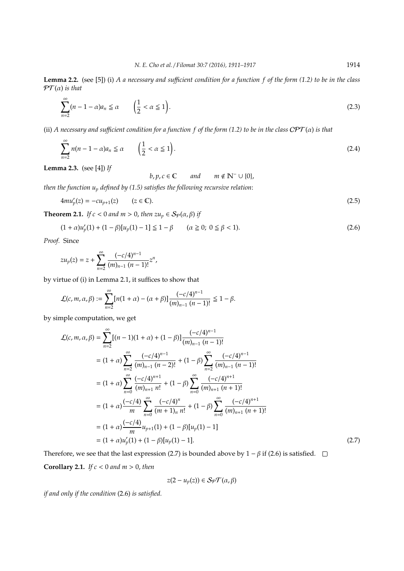**Lemma 2.2.** (see [5]) (i) *A a necessary and su*ffi*cient condition for a function f of the form (1.2) to be in the class*  $PT(\alpha)$  *is that* 

$$
\sum_{n=2}^{\infty} (n-1-\alpha)a_n \le \alpha \qquad \left(\frac{1}{2} < \alpha \le 1\right). \tag{2.3}
$$

(ii) *A necessary and su*ffi*cient condition for a function f of the form (1.2) to be in the class* CPT (α) *is that*

$$
\sum_{n=2}^{\infty} n(n-1-\alpha)a_n \le \alpha \qquad \left(\frac{1}{2} < \alpha \le 1\right). \tag{2.4}
$$

**Lemma 2.3.** (see [4]) *If*

 $b, p, c \in \mathbb{C}$  *and*  $m \notin \mathbb{N}^- \cup \{0\}$ ,

*then the function u<sup>p</sup> defined by (1.5) satisfies the following recursive relation*:

$$
4m u_p'(z) = -c u_{p+1}(z) \qquad (z \in \mathbb{C}).
$$
\n(2.5)

**Theorem 2.1.** *If*  $c < 0$  *and*  $m > 0$ , *then*  $zu_p \in S_{\mathcal{P}}(\alpha, \beta)$  *if* 

$$
(1+\alpha)u_p'(1) + (1-\beta)[u_p(1)-1] \leq 1-\beta \qquad (\alpha \geq 0; \ 0 \leq \beta < 1). \tag{2.6}
$$

*Proof.* Since

$$
zu_p(z)=z+\sum_{n=2}^\infty\frac{(-c/4)^{n-1}}{(m)_{n-1}\ (n-1)!}z^n,
$$

by virtue of (i) in Lemma 2.1, it suffices to show that

$$
\mathcal{L}(c, m, \alpha, \beta) := \sum_{n=2}^{\infty} [n(1+\alpha) - (\alpha+\beta)] \frac{(-c/4)^{n-1}}{(m)_{n-1} (n-1)!} \leq 1 - \beta.
$$

by simple computation, we get

$$
\mathcal{L}(c, m, \alpha, \beta) = \sum_{n=2}^{\infty} [(n-1)(1+\alpha) + (1-\beta)] \frac{(-c/4)^{n-1}}{(m)_{n-1} (n-1)!}
$$
\n
$$
= (1+\alpha) \sum_{n=2}^{\infty} \frac{(-c/4)^{n-1}}{(m)_{n-1} (n-2)!} + (1-\beta) \sum_{n=2}^{\infty} \frac{(-c/4)^{n-1}}{(m)_{n-1} (n-1)!}
$$
\n
$$
= (1+\alpha) \sum_{n=0}^{\infty} \frac{(-c/4)^{n+1}}{(m)_{n+1} n!} + (1-\beta) \sum_{n=0}^{\infty} \frac{(-c/4)^{n+1}}{(m)_{n+1} (n+1)!}
$$
\n
$$
= (1+\alpha) \frac{(-c/4)}{m} \sum_{n=0}^{\infty} \frac{(-c/4)^n}{(m+1)_{n} n!} + (1-\beta) \sum_{n=0}^{\infty} \frac{(-c/4)^{n+1}}{(m)_{n+1} (n+1)!}
$$
\n
$$
= (1+\alpha) \frac{(-c/4)}{m} u_{p+1}(1) + (1-\beta) [u_p(1) - 1]
$$
\n
$$
= (1+\alpha)u'_p(1) + (1-\beta) [u_p(1) - 1]. \tag{2.7}
$$

Therefore, we see that the last expression (2.7) is bounded above by 1 –  $\beta$  if (2.6) is satisfied.  $\Box$ 

**Corollary 2.1.** *If c* < 0 *and m* > 0, *then*

$$
z(2-u_p(z))\in\mathcal{S}_P\mathcal{T}(\alpha,\beta)
$$

*if and only if the condition* (2.6) *is satisfied.*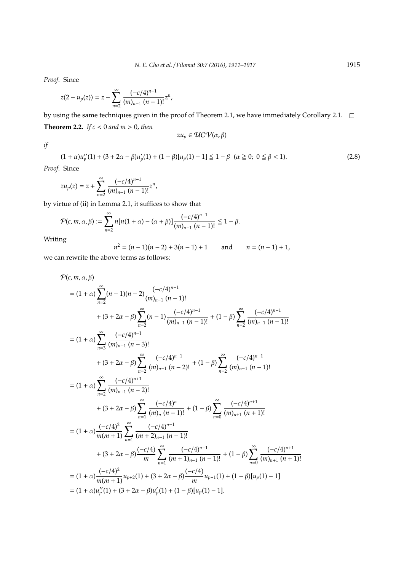*Proof.* Since

$$
z(2-u_p(z))=z-\sum_{n=2}^{\infty}\frac{(-c/4)^{n-1}}{(m)_{n-1}(n-1)!}z^n,
$$

by using the same techniques given in the proof of Theorem 2.1, we have immediately Corollary 2.1.  $\Box$ **Theorem 2.2.** *If*  $c < 0$  *and*  $m > 0$ *, then*  $zu_p \in \mathcal{UCV}(\alpha, \beta)$ 

*if*

$$
(1+\alpha)u_p''(1) + (3+2\alpha - \beta)u_p'(1) + (1-\beta)[u_p(1)-1] \leq 1-\beta \quad (\alpha \geq 0; \ 0 \leq \beta < 1). \tag{2.8}
$$

*Proof.* Since

$$
zu_p(z) = z + \sum_{n=2}^{\infty} \frac{(-c/4)^{n-1}}{(m)_{n-1} (n-1)!} z^n,
$$

by virtue of (ii) in Lemma 2.1, it suffices to show that

$$
\mathcal{P}(c,m,\alpha,\beta) := \sum_{n=2}^{\infty} n[n(1+\alpha) - (\alpha+\beta)] \frac{(-c/4)^{n-1}}{(m)_{n-1} (n-1)!} \leq 1 - \beta.
$$

Writing

$$
n^{2} = (n - 1)(n - 2) + 3(n - 1) + 1 \qquad \text{and} \qquad n = (n - 1) + 1,
$$

we can rewrite the above terms as follows:

$$
\mathcal{P}(c, m, \alpha, \beta)
$$
\n
$$
= (1 + \alpha) \sum_{n=2}^{\infty} (n - 1)(n - 2) \frac{(-c/4)^{n-1}}{(m)_{n-1} (n - 1)!}
$$
\n
$$
+ (3 + 2\alpha - \beta) \sum_{n=2}^{\infty} (n - 1) \frac{(-c/4)^{n-1}}{(m)_{n-1} (n - 1)!} + (1 - \beta) \sum_{n=2}^{\infty} \frac{(-c/4)^{n-1}}{(m)_{n-1} (n - 1)!}
$$
\n
$$
= (1 + \alpha) \sum_{n=3}^{\infty} \frac{(-c/4)^{n-1}}{(m)_{n-1} (n - 3)!}
$$
\n
$$
+ (3 + 2\alpha - \beta) \sum_{n=2}^{\infty} \frac{(-c/4)^{n-1}}{(m)_{n-1} (n - 2)!} + (1 - \beta) \sum_{n=2}^{\infty} \frac{(-c/4)^{n-1}}{(m)_{n-1} (n - 1)!}
$$
\n
$$
= (1 + \alpha) \sum_{n=2}^{\infty} \frac{(-c/4)^{n+1}}{(m)_{n+1} (n - 2)!}
$$
\n
$$
+ (3 + 2\alpha - \beta) \sum_{n=1}^{\infty} \frac{(-c/4)^n}{(m)_n (n - 1)!} + (1 - \beta) \sum_{n=0}^{\infty} \frac{(-c/4)^{n+1}}{(m)_{n+1} (n + 1)!}
$$
\n
$$
= (1 + \alpha) \frac{(-c/4)^2}{m(m+1)} \sum_{n=1}^{\infty} \frac{(-c/4)^{n-1}}{(m+2)_{n-1} (n - 1)!}
$$
\n
$$
+ (3 + 2\alpha - \beta) \sum_{n=1}^{\infty} \frac{(-c/4)^{n-1}}{(m+1)_{n-1} (n - 1)!} + (1 - \beta) \sum_{n=0}^{\infty} \frac{(-c/4)^{n+1}}{(m)_{n+1} (n + 1)!}
$$
\n
$$
= (1 + \alpha) \frac{(-c/4)^2}{m(m+1)} u_{p+2} (1) + (3 + 2\alpha - \beta) \frac{(-c/4
$$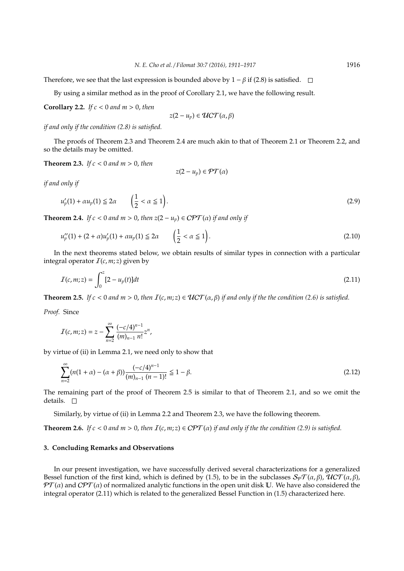Therefore, we see that the last expression is bounded above by  $1 - \beta$  if (2.8) is satisfied.  $\square$ 

By using a similar method as in the proof of Corollary 2.1, we have the following result.

**Corollary 2.2.** *If c* < 0 *and m* > 0, *then*

$$
z(2-u_p)\in \mathcal{U}CT(\alpha,\beta)
$$

*if and only if the condition (2.8) is satisfied.*

The proofs of Theorem 2.3 and Theorem 2.4 are much akin to that of Theorem 2.1 or Theorem 2.2, and so the details may be omitted.

**Theorem 2.3.** *If c* < 0 *and m* > 0, *then*

$$
z(2-u_p)\in \mathcal{PT}(\alpha)
$$

*if and only if*

$$
u_p'(1) + \alpha u_p(1) \le 2\alpha \qquad \left(\frac{1}{2} < \alpha \le 1\right). \tag{2.9}
$$

**Theorem 2.4.** *If*  $c < 0$  *and*  $m > 0$ , *then*  $z(2 - u_p) \in \mathbb{CPT}(\alpha)$  *if and only if* 

$$
u_p''(1) + (2 + \alpha)u_p'(1) + \alpha u_p(1) \le 2\alpha \qquad \left(\frac{1}{2} < \alpha \le 1\right). \tag{2.10}
$$

In the next theorems stated below, we obtain results of similar types in connection with a particular integral operator  $I(c, m; z)$  given by

$$
I(c, m; z) = \int_0^z [2 - u_p(t)] dt
$$
\n(2.11)

**Theorem 2.5.** *If*  $c < 0$  *and*  $m > 0$ , *then*  $I(c, m; z) \in \mathcal{U}CT(\alpha, \beta)$  *if and only if the the condition* (2.6) *is satisfied.* 

*Proof.* Since

$$
I(c, m; z) = z - \sum_{n=2}^{\infty} \frac{(-c/4)^{n-1}}{(m)_{n-1} n!} z^n,
$$

by virtue of (ii) in Lemma 2.1, we need only to show that

$$
\sum_{n=2}^{\infty} (n(1+\alpha) - (\alpha+\beta)) \frac{(-c/4)^{n-1}}{(m)_{n-1} (n-1)!} \leq 1 - \beta.
$$
 (2.12)

The remaining part of the proof of Theorem 2.5 is similar to that of Theorem 2.1, and so we omit the details.  $\square$ 

Similarly, by virtue of (ii) in Lemma 2.2 and Theorem 2.3, we have the following theorem.

**Theorem 2.6.** *If*  $c < 0$  *and*  $m > 0$ , *then*  $I(c, m; z) \in \mathcal{CPT}(\alpha)$  *if and only if the the condition* (2.9) *is satisfied.* 

### **3. Concluding Remarks and Observations**

In our present investigation, we have successfully derived several characterizations for a generalized Bessel function of the first kind, which is defined by (1.5), to be in the subclasses  $S_{\mathcal{P}}\mathcal{T}(\alpha,\beta)$ ,  $\mathcal{U}C\mathcal{T}(\alpha,\beta)$ ,  $\mathcal{PT}(\alpha)$  and  $\mathcal{CPT}(\alpha)$  of normalized analytic functions in the open unit disk U. We have also considered the integral operator (2.11) which is related to the generalized Bessel Function in (1.5) characterized here.